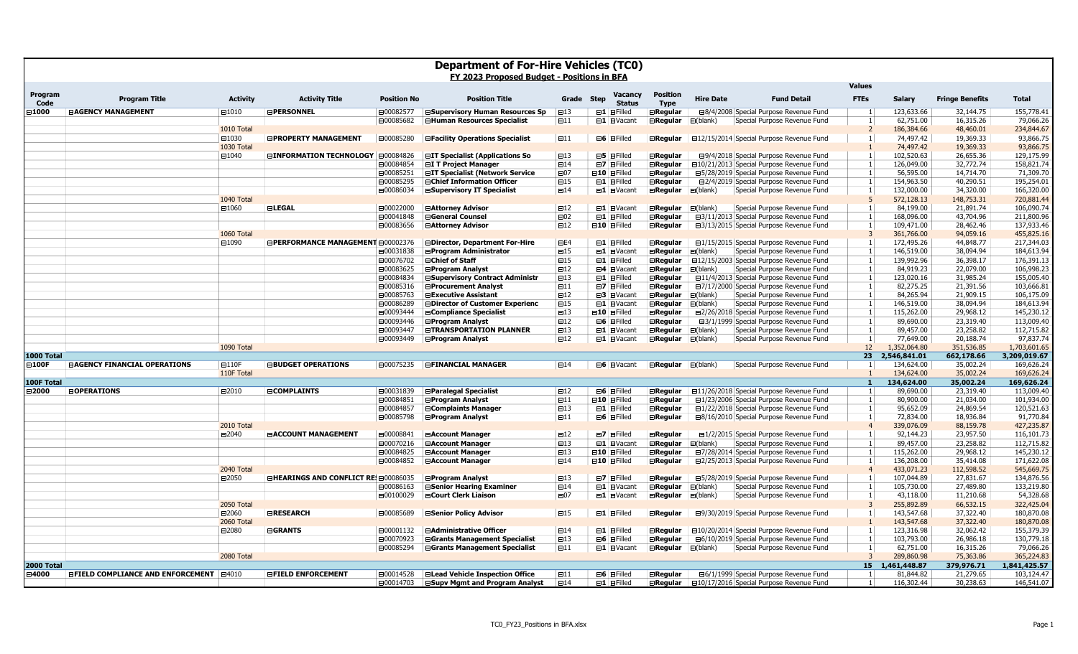| <b>Department of For-Hire Vehicles (TCO)</b><br>FY 2023 Proposed Budget - Positions in BFA |                                                  |                  |                                            |                    |                                        |                                  |                                                |                                |                     |                                                 |                                |                              |                         |                            |
|--------------------------------------------------------------------------------------------|--------------------------------------------------|------------------|--------------------------------------------|--------------------|----------------------------------------|----------------------------------|------------------------------------------------|--------------------------------|---------------------|-------------------------------------------------|--------------------------------|------------------------------|-------------------------|----------------------------|
| Program<br>Code                                                                            | <b>Program Title</b>                             | <b>Activity</b>  | <b>Activity Title</b>                      | <b>Position No</b> | <b>Position Title</b>                  | Grade                            | <b>Vacancy</b><br><b>Step</b><br><b>Status</b> | <b>Position</b><br><b>Type</b> | <b>Hire Date</b>    | <b>Fund Detail</b>                              | <b>Values</b><br><b>FTEs</b>   | <b>Salary</b>                | <b>Fringe Benefits</b>  | <b>Total</b>               |
| ∃1000                                                                                      | <b>EAGENCY MANAGEMENT</b>                        | $\boxplus 1010$  | <b>EPERSONNEL</b>                          | ⊟00082577          | <b>⊟Supervisory Human Resources Sp</b> | $\boxminus$ 13                   | $\boxminus$ 1 $\boxminus$ Filled               | <b>ERegular</b>                |                     | <b>⊟8/4/2008</b> Special Purpose Revenue Fund   |                                | 123,633.66                   | 32,144.75               | 155,778.41                 |
|                                                                                            |                                                  |                  |                                            | ⊟00085682          | <b>⊟Human Resources Specialist</b>     | $\boxminus$ 11                   | $\Box$ 1 $\Box$ Vacant                         | <b>ERegular</b>                | $\boxminus$ (blank) | Special Purpose Revenue Fund                    | $\overline{1}$                 | 62,751.00                    | 16,315.26               | 79,066.26                  |
|                                                                                            |                                                  | 1010 Total       |                                            |                    |                                        |                                  |                                                |                                |                     |                                                 |                                | 186,384.66                   | 48,460.01               | 234,844.67                 |
|                                                                                            |                                                  | □1030            | <b>EPROPERTY MANAGEMENT</b>                | □00085280          | <b>⊟Facility Operations Specialist</b> | $\boxminus$ 11                   | $\boxminus$ 6 $\boxminus$ Filled               | <b>ERegular</b>                |                     | <b>E12/15/2014 Special Purpose Revenue Fund</b> | -1                             | 74,497.42                    | 19,369.33               | 93,866.75                  |
|                                                                                            |                                                  | 1030 Total       |                                            |                    |                                        |                                  |                                                |                                |                     |                                                 |                                | 74,497.42                    | 19,369.33               | 93,866.75                  |
|                                                                                            |                                                  | □1040            | <b>⊟INFORMATION TECHNOLOGY   E00084826</b> |                    | <b>⊟IT Specialist (Applications So</b> | $\boxminus$ 13                   | $\boxminus$ 5 $\boxminus$ Filled               | $\boxminus$ Regular            |                     | □9/4/2018 Special Purpose Revenue Fund          |                                | 102,520.63                   | 26,655.36               | 129,175.99                 |
|                                                                                            |                                                  |                  |                                            | □00084854          | <b>EI T Project Manager</b>            | $\boxminus$ 14                   | $\boxminus$ 7 $\boxminus$ Filled               | $\boxminus$ Regular            |                     | □10/21/2013 Special Purpose Revenue Fund        | $\overline{1}$                 | 126,049.00                   | 32,772.74               | 158,821.74                 |
|                                                                                            |                                                  |                  |                                            | □00085251          | <b>EIT Specialist (Network Service</b> | $\boxminus$ 07                   | <b>⊟10 ⊟Filled</b>                             | $\boxminus$ Regular            |                     | ⊟5/28/2019 Special Purpose Revenue Fund         | $\mathbf{1}$<br>$\overline{1}$ | 56,595.00                    | 14,714.70               | 71,309.70                  |
|                                                                                            |                                                  |                  |                                            | ⊟00085295          | <b>⊟Chief Information Officer</b>      | $\boxminus$ 15<br>$\boxminus$ 14 | $\boxminus$ 1 $\boxminus$ Filled               | <b>ERegular</b>                |                     | <b>E2/4/2019</b> Special Purpose Revenue Fund   |                                | 154,963.50<br>132,000.00     | 40,290.51<br>34,320.00  | 195,254.01<br>166,320.00   |
|                                                                                            |                                                  | 1040 Total       |                                            | ⊟00086034          | <b>⊟Supervisory IT Specialist</b>      |                                  | $\Box$ 1 $\Box$ Vacant                         | $\boxminus$ Regular            | $\boxminus$ (blank) | Special Purpose Revenue Fund                    |                                | 572,128.13                   | 148,753.31              | 720,881.44                 |
|                                                                                            |                                                  | □1060            | <b>ELEGAL</b>                              | □00022000          | <b>⊟Attorney Advisor</b>               | $\boxminus$ 12                   | $\Box$ 1 $\Box$ Vacant                         | $\boxminus$ Regular            | $\Box$ (blank)      | Special Purpose Revenue Fund                    |                                | 84,199.00                    | 21,891.74               | 106,090.74                 |
|                                                                                            |                                                  |                  |                                            | □00041848          | <b>⊟General Counsel</b>                | $\boxminus$ 02                   | $\boxminus$ 1 $\boxminus$ Filled               | <b>ERegular</b>                |                     | □3/11/2013 Special Purpose Revenue Fund         |                                | 168,096.00                   | 43,704.96               | 211,800.96                 |
|                                                                                            |                                                  |                  |                                            | □00083656          | <b>⊟Attorney Advisor</b>               | $\boxminus$ 12                   | <b>⊟10</b> EFilled                             | <b>ERegular</b>                |                     | □3/13/2015 Special Purpose Revenue Fund         | -1                             | 109,471.00                   | 28,462.46               | 137,933.46                 |
|                                                                                            |                                                  | 1060 Total       |                                            |                    |                                        |                                  |                                                |                                |                     |                                                 | $\overline{3}$                 | 361,766.00                   | 94,059.16               | 455,825.16                 |
|                                                                                            |                                                  | □1090            | <b>EPERFORMANCE MANAGEMENT E00002376</b>   |                    | <b>⊟Director, Department For-Hire</b>  | E4                               | $\boxminus$ 1 $\boxminus$ Filled               | <b>ERegular</b>                |                     | □1/15/2015 Special Purpose Revenue Fund         | $\mathbf{1}$                   | 172,495.26                   | 44,848.77               | 217,344.03                 |
|                                                                                            |                                                  |                  |                                            | □00031838          | <b>⊟Program Administrator</b>          | $\boxminus$ 15                   | $\Box$ 1 $\Box$ Vacant                         | <b>ERegular</b>                | $\boxminus$ (blank) | Special Purpose Revenue Fund                    |                                | 146,519.00                   | 38,094.94               | 184,613.94                 |
|                                                                                            |                                                  |                  |                                            | ⊟00076702          | <b>⊟Chief of Staff</b>                 | $\boxminus$ 15                   | $\boxminus$ 1 $\boxminus$ Filled               | ⊟Regular                       |                     | □12/15/2003 Special Purpose Revenue Fund        | -1                             | 139,992.96                   | 36,398.17               | 176,391.13                 |
|                                                                                            |                                                  |                  |                                            | ⊟00083625          | <b>⊟Program Analyst</b>                | $\boxminus$ 12                   | $\boxminus$ 4 $\boxminus$ Vacant               | $\boxminus$ Regular            | $\boxminus$ (blank) | Special Purpose Revenue Fund                    |                                | 84,919.23                    | 22,079.00               | 106,998.23                 |
|                                                                                            |                                                  |                  |                                            | ⊟00084834          | <b>⊟Supervisory Contract Administr</b> | $\boxminus$ 13                   | $\boxminus$ 1 $\boxminus$ Filled               | $\boxminus$ Regular            |                     | □11/4/2013 Special Purpose Revenue Fund         | $\overline{1}$                 | 123,020.16                   | 31,985.24               | 155,005.40                 |
|                                                                                            |                                                  |                  |                                            | ⊟00085316          | <b>⊟Procurement Analyst</b>            | $\boxminus$ 11                   | $\Box$ 7 $\Box$ Filled                         | <b>E</b> Regular               |                     | □7/17/2000 Special Purpose Revenue Fund         |                                | 82,275.25                    | 21,391.56               | 103,666.81                 |
|                                                                                            |                                                  |                  |                                            | ⊟00085763          | <b>⊟Executive Assistant</b>            | $\boxminus$ 12                   | <b>⊟3 EVacant</b>                              | <b>ERegular</b>                | $\boxminus$ (blank) | Special Purpose Revenue Fund                    | $\mathbf{1}$                   | 84,265.94                    | 21,909.15               | 106,175.09                 |
|                                                                                            |                                                  |                  |                                            | ⊟00086289          | <b>EDirector of Customer Experienc</b> | □15                              | $\Box$ 1 $\Box$ Vacant                         | $\boxminus$ Regular            | $\boxminus$ (blank) | Special Purpose Revenue Fund                    |                                | 146,519.00                   | 38,094.94               | 184,613.94                 |
|                                                                                            |                                                  |                  |                                            | □00093444          | <b>⊟Compliance Specialist</b>          | $\boxminus$ 13                   | <b>⊟10 ⊟Filled</b>                             | <b>ERegular</b>                |                     | □2/26/2018 Special Purpose Revenue Fund         | $\overline{1}$                 | 115,262.00                   | 29,968.12               | 145,230.12                 |
|                                                                                            |                                                  |                  |                                            | ⊟00093446          | <b>⊟Program Analyst</b>                | $\boxminus$ 12                   | $\boxminus$ 6 $\boxminus$ Filled               | <b>ERegular</b>                |                     | <b>⊟3/1/1999 Special Purpose Revenue Fund</b>   | $\overline{1}$                 | 89,690.00                    | 23,319.40               | 113,009.40                 |
|                                                                                            |                                                  |                  |                                            | □00093447          | <b>ETRANSPORTATION PLANNER</b>         | $\boxminus$ 13                   | $\Box$ 1 $\Box$ Vacant                         | ⊟Regular                       | $\Box$ (blank)      | Special Purpose Revenue Fund                    |                                | 89,457.00                    | 23,258.82               | 112,715.82                 |
|                                                                                            |                                                  |                  |                                            | ⊟00093449          | <b>⊟Program Analyst</b>                | $\boxminus$ 12                   | $\Box$ 1 $\Box$ Vacant                         | $\boxminus$ Regular            | $\Box$ (blank)      | Special Purpose Revenue Fund                    | $\mathbf{1}$                   | 77,649.00                    | 20,188.74               | 97,837.74                  |
|                                                                                            |                                                  | 1090 Total       |                                            |                    |                                        |                                  |                                                |                                |                     |                                                 | 12 <sup>2</sup>                | 1,352,064.80                 | 351,536.85              | 1,703,601.65               |
| 1000 Total                                                                                 |                                                  |                  |                                            |                    |                                        |                                  |                                                |                                |                     |                                                 | 23 <sup>7</sup>                | 2,546,841.01                 | 662,178.66              | 3,209,019.67               |
| <b>⊟100F</b>                                                                               | <b>EAGENCY FINANCIAL OPERATIONS</b>              | $\boxminus$ 110F | <b>EBUDGET OPERATIONS</b>                  | ⊟00075235          | <b>EFINANCIAL MANAGER</b>              | $\boxminus$ 14                   | $\Box$ 6 $\Box$ Vacant                         | $\boxminus$ Regular            | $\Box$ (blank)      | Special Purpose Revenue Fund                    | $\overline{1}$                 | 134,624.00                   | 35,002.24               | 169,626.24                 |
| 100F Total                                                                                 |                                                  | 110F Total       |                                            |                    |                                        |                                  |                                                |                                |                     |                                                 |                                | 134,624.00<br>134,624.00     | 35,002.24<br>35,002.24  | 169,626.24<br>169,626.24   |
| ⊟ 2000                                                                                     | <b>EOPERATIONS</b>                               | ⊟2010            | <b>ECOMPLAINTS</b>                         | ⊟00031839          | <b>BParalegal Specialist</b>           | $\boxminus$ 12                   | $\boxminus$ 6 $\boxminus$ Filled               | $\boxminus$ Regular            |                     | □11/26/2018 Special Purpose Revenue Fund        | $\mathbf{1}$<br>$\mathbf{1}$   | 89,690.00                    | 23,319.40               | 113,009.40                 |
|                                                                                            |                                                  |                  |                                            | □00084851          | <b>⊟Program Analyst</b>                | $\boxminus$ 11                   | <b>⊟10 ⊟Filled</b>                             | <b>ERegular</b>                |                     | □ 1/23/2006 Special Purpose Revenue Fund        | $\overline{1}$                 | 80,900.00                    | 21,034.00               | 101,934.00                 |
|                                                                                            |                                                  |                  |                                            | ⊟00084857          | <b>⊟Complaints Manager</b>             | $\boxminus$ 13                   | $\boxminus$ 1 $\boxminus$ Filled               | <b>ERegular</b>                |                     | □1/22/2018 Special Purpose Revenue Fund         |                                | 95,652.09                    | 24,869.54               | 120,521.63                 |
|                                                                                            |                                                  |                  |                                            | □00085798          | <b>⊟Program Analyst</b>                | $\boxminus$ 11                   | $\boxminus$ 6 $\boxminus$ Filled               | $\boxminus$ Regular            |                     | ⊟8/16/2010 Special Purpose Revenue Fund         | -1                             | 72,834.00                    | 18,936.84               | 91,770.84                  |
|                                                                                            |                                                  | 2010 Total       |                                            |                    |                                        |                                  |                                                |                                |                     |                                                 | $\overline{4}$                 | 339,076.09                   | 88,159.78               | 427,235.87                 |
|                                                                                            |                                                  | ■2040            | <b>EACCOUNT MANAGEMENT</b>                 | □00008841          | <b>⊟Account Manager</b>                | $\boxminus$ 12                   | $\boxminus$ 7 $\boxminus$ Filled               | <b>E</b> Regular               |                     | □1/2/2015 Special Purpose Revenue Fund          |                                | 92,144.23                    | 23,957.50               | 116,101.73                 |
|                                                                                            |                                                  |                  |                                            | □00070216          | <b>⊟Account Manager</b>                | $\boxminus$ 13                   | <b>⊟1 ⊟Vacant</b>                              | <b>ERegular</b>                | $\boxminus$ (blank) | Special Purpose Revenue Fund                    |                                | 89,457.00                    | 23,258.82               | 112,715.82                 |
|                                                                                            |                                                  |                  |                                            | □00084825          | <b>⊟Account Manager</b>                | $\boxminus$ 13                   | <b>⊟10 ⊟Filled</b>                             | <b>ERegular</b>                |                     | □7/28/2014 Special Purpose Revenue Fund         |                                | 115,262.00                   | 29,968.12               | 145,230.12                 |
|                                                                                            |                                                  |                  |                                            | ⊟00084852          | <b>⊟Account Manager</b>                | $\boxminus$ 14                   | <b>⊟10 ⊟Filled</b>                             | $\boxminus$ Regular            |                     | □2/25/2013 Special Purpose Revenue Fund         | $\overline{1}$                 | 136,208.00                   | 35,414.08               | 171,622.08                 |
|                                                                                            |                                                  | 2040 Total       |                                            |                    |                                        |                                  |                                                |                                |                     |                                                 |                                | 433,071.23                   | 112,598.52              | 545,669.75                 |
|                                                                                            |                                                  | ⊟2050            | <b>EHEARINGS AND CONFLICT RE E00086035</b> |                    | <b>⊟Program Analyst</b>                | $\boxminus$ 13                   | $\Box$ 7 $\Box$ Filled                         | <b>ERegular</b>                |                     | □5/28/2019 Special Purpose Revenue Fund         |                                | 107,044.89                   | 27,831.67               | 134,876.56                 |
|                                                                                            |                                                  |                  |                                            | □00086163          | <b>⊟Senior Hearing Examiner</b>        | $\boxminus$ 14                   | $\Box$ 1 $\Box$ Vacant                         | $\boxminus$ Regular            | $\boxminus$ (blank) | Special Purpose Revenue Fund                    |                                | 105,730.00                   | 27,489.80               | 133,219.80                 |
|                                                                                            |                                                  |                  |                                            | □00100029          | <b>⊟Court Clerk Liaison</b>            | ⊟07                              | $\Box$ 1 $\Box$ Vacant                         | ⊟Regular                       | $\Box$ (blank)      | Special Purpose Revenue Fund                    | -1                             | 43,118.00                    | 11,210.68               | 54,328.68                  |
|                                                                                            |                                                  | 2050 Total       |                                            |                    |                                        |                                  |                                                |                                |                     |                                                 |                                | 255,892.89                   | 66,532.15               | 322,425.04                 |
|                                                                                            |                                                  | ⊟2060            | <b>ERESEARCH</b>                           | □00085689          | <b>⊟Senior Policy Advisor</b>          | $\boxminus$ 15                   | $\boxminus$ 1 $\boxminus$ Filled               | $\boxminus$ Regular            |                     | ⊟9/30/2019 Special Purpose Revenue Fund         |                                | 143,547.68                   | 37,322.40               | 180,870.08                 |
|                                                                                            |                                                  | 2060 Total       |                                            |                    |                                        |                                  |                                                |                                |                     |                                                 |                                | 143,547.68                   | 37,322.40               | 180,870.08                 |
|                                                                                            |                                                  | □2080            | <b>EGRANTS</b>                             | □00001132          | <b>⊟Administrative Officer</b>         | $\boxminus$ 14                   | $\boxminus$ 1 $\boxminus$ Filled               | $\boxminus$ Regular            |                     | □10/20/2014 Special Purpose Revenue Fund        |                                | 123,316.98                   | 32,062.42               | 155,379.39                 |
|                                                                                            |                                                  |                  |                                            | ⊟00070923          | <b>⊟Grants Management Specialist</b>   | $\boxminus$ 13                   | $\boxminus$ 6 $\boxminus$ Filled               | $\boxminus$ Regular            |                     | <b>E6/10/2019 Special Purpose Revenue Fund</b>  | $\mathbf{1}$                   | 103,793.00                   | 26,986.18               | 130,779.18                 |
|                                                                                            |                                                  |                  |                                            | □00085294          | <b>⊟Grants Management Specialist</b>   | $\Box$ 11                        | $\boxminus$ 1 $\boxminus$ Vacant               | $\boxminus$ Regular            | $\Box$ (blank)      | Special Purpose Revenue Fund                    | $\overline{1}$                 | 62,751.00                    | 16,315.26               | 79,066.26                  |
|                                                                                            |                                                  | 2080 Total       |                                            |                    |                                        |                                  |                                                |                                |                     |                                                 |                                | 289,860.98                   | 75,363.86               | 365,224.83                 |
| 2000 Total<br>⊟4000                                                                        | <b>EFIELD COMPLIANCE AND ENFORCEMENT   E4010</b> |                  | <b>EFIELD ENFORCEMENT</b>                  | ⊟00014528          | <b>ELead Vehicle Inspection Office</b> | $\boxminus$ 11                   | $\boxminus$ 6 $\boxminus$ Filled               | $\boxminus$ Regular            |                     | <b>E6/1/1999 Special Purpose Revenue Fund</b>   | -1                             | 15 1,461,448.87<br>81,844.82 | 379,976.71<br>21,279.65 | 1,841,425.57<br>103,124.47 |
|                                                                                            |                                                  |                  |                                            | □00014703          | <b>⊟Supv Mgmt and Program Analyst</b>  | $\boxminus$ 14                   | $\boxminus$ 1 $\boxminus$ Filled               | <b>ERegular</b>                |                     | <b>E10/17/2016 Special Purpose Revenue Fund</b> |                                | 116,302.44                   | 30,238.63               | 146,541.07                 |
|                                                                                            |                                                  |                  |                                            |                    |                                        |                                  |                                                |                                |                     |                                                 |                                |                              |                         |                            |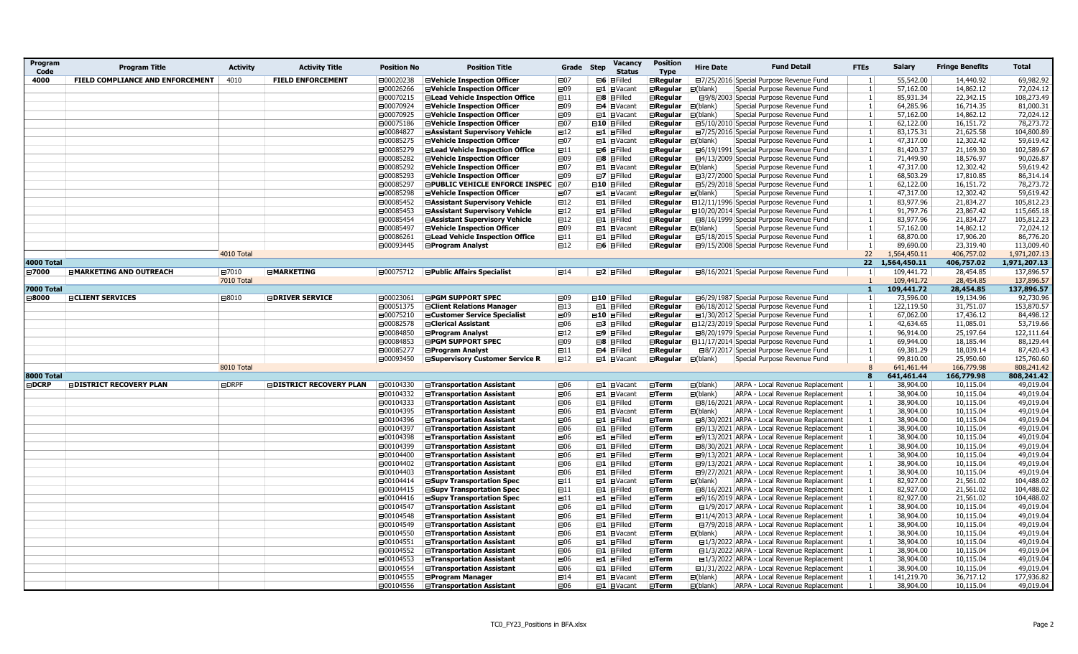| Program<br>Code   | <b>Program Title</b>             | <b>Activity</b> | <b>Activity Title</b>          | <b>Position No</b> | <b>Position Title</b>                                                   | Grade Step     | Vacancv<br><b>Status</b>          | <b>Position</b><br><b>Type</b>         | <b>Hire Date</b>    | <b>Fund Detail</b>                                                                 | <b>FTEs</b>     | <b>Salary</b>           | <b>Fringe Benefits</b> | <b>Total</b>             |
|-------------------|----------------------------------|-----------------|--------------------------------|--------------------|-------------------------------------------------------------------------|----------------|-----------------------------------|----------------------------------------|---------------------|------------------------------------------------------------------------------------|-----------------|-------------------------|------------------------|--------------------------|
| 4000              | FIELD COMPLIANCE AND ENFORCEMENT | 4010            | <b>FIELD ENFORCEMENT</b>       | ⊟00020238          | <b>EVehicle Inspection Officer</b>                                      | ⊟07            | $\boxminus$ 6 $\boxminus$ Filled  | <b>⊟Regular</b>                        |                     | □7/25/2016 Special Purpose Revenue Fund                                            |                 | 55,542.00               | 14,440.92              | 69,982.92                |
|                   |                                  |                 |                                | ⊟00026266          | <b>⊟Vehicle Inspection Officer</b>                                      | ⊟09            | $\boxminus$ 1 $\boxminus$ Vacant  | $\boxminus$ Regular                    | $\boxminus$ (blank) | Special Purpose Revenue Fund                                                       |                 | 57,162.00               | 14,862.12              | 72,024.12                |
|                   |                                  |                 |                                | □00070215          | <b>⊟Lead Vehicle Inspection Office</b>                                  | $\boxminus$ 11 | $\boxminus$ 8 $\boxminus$ Filled  | ⊟Regular                               |                     | □9/8/2003 Special Purpose Revenue Fund                                             |                 | 85,931.34               | 22,342.15              | 108,273.49               |
|                   |                                  |                 |                                | □00070924          | <b>EVehicle Inspection Officer</b>                                      | ⊟09            | ⊟4 <b>EVacant</b>                 | $\boxminus$ Regular                    | $\boxminus$ (blank) | Special Purpose Revenue Fund                                                       | $\overline{1}$  | 64,285.96               | 16,714.35              | 81,000.31                |
|                   |                                  |                 |                                | ⊟00070925          | <b>EVehicle Inspection Officer</b>                                      | $\boxminus$ 09 | $\Box$ 1 $\Box$ Vacant            | $\boxminus$ Regular                    | $\boxminus$ (blank) | Special Purpose Revenue Fund                                                       |                 | 57,162.00               | 14,862.12              | 72,024.12                |
|                   |                                  |                 |                                | □00075186          | <b>⊟Vehicle Inspection Officer</b>                                      | ⊟07            | $\boxminus$ 10 $\boxminus$ Filled | ⊟Regular                               |                     | □5/10/2010 Special Purpose Revenue Fund                                            |                 | 62,122.00               | 16,151.72              | 78,273.72                |
|                   |                                  |                 |                                | □00084827          | <b>⊟Assistant Supervisory Vehicle</b>                                   | $\boxminus$ 12 | $\boxminus$ 1 $\boxminus$ Filled  | <b>ERegular</b>                        |                     | □7/25/2016 Special Purpose Revenue Fund                                            |                 | 83,175.31               | 21,625.58              | 104,800.89               |
|                   |                                  |                 |                                | □00085275          | <b>⊟Vehicle Inspection Officer</b>                                      | $\boxminus$ 07 | $\boxminus$ 1 $\boxminus$ Vacant  | $\boxminus$ Regular                    | ⊟(blank)            | Special Purpose Revenue Fund                                                       |                 | 47,317.00               | 12,302.42              | 59,619.42                |
|                   |                                  |                 |                                | □00085279          | <b>ELead Vehicle Inspection Office</b>                                  | $\boxminus$ 11 | $\boxminus$ 6 $\boxminus$ Filled  | $\boxminus$ Regular                    |                     | <b>⊟6/19/1991 Special Purpose Revenue Fund</b>                                     |                 | 81,420.37               | 21,169.30              | 102,589.67               |
|                   |                                  |                 |                                | □00085282          | <b>⊟Vehicle Inspection Officer</b>                                      | ⊟09            | $\boxminus$ 8 $\boxminus$ Filled  | <b>⊟Regular</b>                        |                     | ⊟4/13/2009 Special Purpose Revenue Fund                                            |                 | 71,449.90               | 18,576.97              | 90,026.87                |
|                   |                                  |                 |                                | □00085292          | <b>⊟Vehicle Inspection Officer</b>                                      | ⊟07            | $\boxminus$ 1 $\boxminus$ Vacant  | <b>ERegular</b>                        | $\boxminus$ (blank) | Special Purpose Revenue Fund                                                       |                 | 47,317.00               | 12,302.42              | 59,619.42                |
|                   |                                  |                 |                                | □00085293          | <b>EVehicle Inspection Officer</b>                                      | ⊟09            | $\Box$ 7 $\Box$ Filled            | <b>⊟Regular</b>                        |                     | <b>E3/27/2000</b> Special Purpose Revenue Fund                                     |                 | 68,503.29               | 17,810.85              | 86,314.14                |
|                   |                                  |                 |                                | ⊟00085297          | <b>EPUBLIC VEHICLE ENFORCE INSPEC E07</b>                               |                | $\boxminus$ 10 $\boxminus$ Filled | <b>ERegular</b>                        |                     | □5/29/2018 Special Purpose Revenue Fund                                            |                 | 62,122.00               | 16,151.72              | 78,273.72                |
|                   |                                  |                 |                                | □00085298          | <b>EVehicle Inspection Officer</b>                                      | $\boxminus$ 07 | $\boxminus$ 1 $\boxminus$ Vacant  | $\boxminus$ Regular                    | $\boxminus$ (blank) | Special Purpose Revenue Fund                                                       |                 | 47,317.00               | 12,302.42              | 59,619.42                |
|                   |                                  |                 |                                | □00085452          | <b>⊟Assistant Supervisory Vehicle</b>                                   | $\boxminus$ 12 | $\boxminus$ 1 $\boxminus$ Filled  | $\boxminus$ Regular                    |                     | □12/11/1996 Special Purpose Revenue Fund                                           |                 | 83,977.96               | 21,834.27              | 105,812.23               |
|                   |                                  |                 |                                | □00085453          | <b>⊟Assistant Supervisory Vehicle</b>                                   | $\boxminus$ 12 | $\boxminus$ 1 $\boxminus$ Filled  | $\boxminus$ Regular                    |                     | ⊟10/20/2014 Special Purpose Revenue Fund                                           |                 | 91,797.76               | 23,867.42              | 115,665.18               |
|                   |                                  |                 |                                | ⊟00085454          | <b>⊟Assistant Supervisory Vehicle</b>                                   | $\boxminus$ 12 | $\boxminus$ 1 $\boxminus$ Filled  | <b>E</b> Regular                       |                     | <b>⊟8/16/1999 Special Purpose Revenue Fund</b>                                     |                 | 83,977.96               | 21,834.27              | 105,812.23               |
|                   |                                  |                 |                                | □00085497          | <b>⊟Vehicle Inspection Officer</b>                                      | ⊟09            | $\boxminus$ 1 $\boxminus$ Vacant  | $\boxminus$ Regular                    | $\boxminus$ (blank) | Special Purpose Revenue Fund                                                       |                 | 57,162.00               | 14,862.12              | 72,024.12                |
|                   |                                  |                 |                                | □00086261          | <b>⊟Lead Vehicle Inspection Office</b>                                  | $\boxminus$ 11 | $\boxminus$ 1 $\boxminus$ Filled  | $\boxminus$ Regular                    |                     | □5/18/2015 Special Purpose Revenue Fund                                            |                 | 68,870.00               | 17,906.20              | 86,776.20                |
|                   |                                  |                 |                                | □ 00093445         | <b>⊟Program Analyst</b>                                                 | $\boxminus$ 12 | $\boxminus$ 6 $\boxminus$ Filled  | $\boxminus$ Regular                    |                     | ⊟9/15/2008 Special Purpose Revenue Fund                                            | $\overline{1}$  | 89,690.00               | 23,319.40              | 113,009.40               |
|                   |                                  | 4010 Total      |                                |                    |                                                                         |                |                                   |                                        |                     |                                                                                    | 22              | 1,564,450.11            | 406,757.02             | 1,971,207.13             |
| 4000 Total        |                                  |                 |                                |                    |                                                                         |                |                                   |                                        |                     |                                                                                    | 22 <sub>2</sub> | 1,564,450.11            | 406,757.02             | 1,971,207.13             |
| ⊟7000             | <b>EMARKETING AND OUTREACH</b>   | □7010           | <b>EMARKETING</b>              | ⊟00075712          | <b>Public Affairs Specialist</b>                                        | $\boxminus$ 14 | $\boxminus$ 2 $\boxminus$ Filled  | <b>ERegular</b>                        |                     | □8/16/2021 Special Purpose Revenue Fund                                            | $\overline{1}$  | 109,441.72              | 28,454.85              | 137,896.57               |
| <b>7000 Total</b> |                                  | 7010 Total      |                                |                    |                                                                         |                |                                   |                                        |                     |                                                                                    | $\mathbf{1}$    | 109,441.72              | 28,454.85              | 137,896.57<br>137,896.57 |
| ⊟8000             | <b>ECLIENT SERVICES</b>          | ⊟8010           | <b>EDRIVER SERVICE</b>         | ⊟00023061          | <b>EPGM SUPPORT SPEC</b>                                                | $\boxminus$ 09 | $\boxminus$ 10 $\boxminus$ Filled | $\boxminus$ Regular                    |                     |                                                                                    |                 | 109,441.72<br>73,596.00 | 28,454.85<br>19,134.96 | 92,730.96                |
|                   |                                  |                 |                                | ⊟00051375          |                                                                         | $\boxminus$ 13 | $\boxminus$ 1 $\boxminus$ Filled  |                                        |                     | ⊟6/29/1987 Special Purpose Revenue Fund<br>□6/18/2012 Special Purpose Revenue Fund |                 | 122,119.50              | 31,751.07              | 153,870.57               |
|                   |                                  |                 |                                | □00075210          | <b>⊟Client Relations Manager</b><br><b>⊟Customer Service Specialist</b> | ⊟09            | <b>⊟10 ⊟Filled</b>                | $\boxminus$ Regular<br>⊟Regular        |                     | □1/30/2012 Special Purpose Revenue Fund                                            |                 | 67.062.00               |                        |                          |
|                   |                                  |                 |                                | ⊟00082578          | <b>E</b> Clerical Assistant                                             | $\boxminus$ 06 | $\boxminus$ 3 $\boxminus$ Filled  | <b>ERegular</b>                        |                     | □12/23/2019 Special Purpose Revenue Fund                                           |                 | 42,634.65               | 17,436.12<br>11,085.01 | 84,498.12<br>53,719.66   |
|                   |                                  |                 |                                | □00084850          | <b>⊟Program Analyst</b>                                                 | $\boxminus$ 12 | $\boxminus$ 9 $\boxminus$ Filled  | <b>⊟Regular</b>                        |                     | <b>E8/20/1979 Special Purpose Revenue Fund</b>                                     |                 | 96,914.00               | 25,197.64              | 122,111.64               |
|                   |                                  |                 |                                | □00084853          | <b>EPGM SUPPORT SPEC</b>                                                | ⊟09            | $\boxminus$ 8 $\boxminus$ Filled  |                                        |                     |                                                                                    |                 | 69,944.00               | 18,185.44              | 88,129.44                |
|                   |                                  |                 |                                | □00085277          | <b>⊟Program Analyst</b>                                                 | $\boxminus$ 11 | $\boxminus$ 4 $\boxminus$ Filled  | $\boxminus$ Regular<br><b>ERegular</b> |                     | ⊟11/17/2014 Special Purpose Revenue Fund<br>□8/7/2017 Special Purpose Revenue Fund |                 | 69,381.29               | 18,039.14              | 87,420.43                |
|                   |                                  |                 |                                | □00093450          | <b>⊟Supervisory Customer Service R</b>                                  | $\boxminus$ 12 | $\Box$ 1 $\Box$ Vacant            | $\boxminus$ Regular                    | $\boxminus$ (blank) | Special Purpose Revenue Fund                                                       | $\overline{1}$  | 99,810.00               | 25,950.60              | 125,760.60               |
|                   |                                  | 8010 Total      |                                |                    |                                                                         |                |                                   |                                        |                     |                                                                                    | $\mathbf{8}$    | 641,461.44              | 166,779.98             | 808,241.42               |
| 8000 Total        |                                  |                 |                                |                    |                                                                         |                |                                   |                                        |                     |                                                                                    | $\mathbf{R}$    | 641,461.44              | 166,779.98             | 808,241.42               |
| $\boxminus$ DCRP  | <b>EDISTRICT RECOVERY PLAN</b>   | <b>EDRPF</b>    | <b>EDISTRICT RECOVERY PLAN</b> | □ 00104330         | <b>⊟Transportation Assistant</b>                                        | ⊟06            | $\Box$ 1 $\Box$ Vacant            | $\boxminus$ Term                       | $\boxminus$ (blank) | ARPA - Local Revenue Replacement                                                   |                 | 38,904.00               | 10,115.04              | 49,019.04                |
|                   |                                  |                 |                                | □00104332          | <b>⊟Transportation Assistant</b>                                        | $\boxminus$ 06 | $\Box$ 1 $\Box$ Vacant            | $E$ Term                               | $\boxminus$ (blank) | ARPA - Local Revenue Replacement                                                   | -1              | 38,904.00               | 10,115.04              | 49,019.04                |
|                   |                                  |                 |                                | □00104333          | <b>⊟Transportation Assistant</b>                                        | $\boxminus$ 06 | $\boxminus$ 1 $\boxminus$ Filled  | $E$ Term                               |                     | <b>E8/16/2021 ARPA - Local Revenue Replacement</b>                                 |                 | 38,904.00               | 10,115.04              | 49,019.04                |
|                   |                                  |                 |                                | □00104395          | <b>⊟Transportation Assistant</b>                                        | ⊟06            | $\Box$ I $\Box$ Vacant            | $\boxminus$ Term                       | $\boxminus$ (blank) | ARPA - Local Revenue Replacement                                                   |                 | 38,904.00               | 10,115.04              | 49,019.04                |
|                   |                                  |                 |                                | □00104396          | <b>⊟Transportation Assistant</b>                                        | ⊟06            | $\boxminus$ 1 $\boxminus$ Filled  | $\boxdot$ Term                         |                     | □8/30/2021 ARPA - Local Revenue Replacement                                        |                 | 38,904.00               | 10,115.04              | 49,019.04                |
|                   |                                  |                 |                                | □00104397          | <b>⊟Transportation Assistant</b>                                        | $\boxminus$ 06 | $\boxminus$ 1 $\boxminus$ Filled  | $\boxminus$ Term                       |                     | □9/13/2021 ARPA - Local Revenue Replacement                                        |                 | 38,904.00               | 10,115.04              | 49,019.04                |
|                   |                                  |                 |                                | □00104398          | <b>⊟Transportation Assistant</b>                                        | $\boxminus$ 06 | $\boxminus$ 1 $\boxminus$ Filled  | $\boxminus$ Term                       |                     | <b>□9/13/2021 ARPA - Local Revenue Replacement</b>                                 | $\overline{1}$  | 38,904.00               | 10,115.04              | 49,019.04                |
|                   |                                  |                 |                                | □00104399          | <b>⊟Transportation Assistant</b>                                        | ⊟06            | $\boxminus$ 1 $\boxminus$ Filled  | $\boxminus$ Term                       |                     | ⊟8/30/2021 ARPA - Local Revenue Replacement                                        |                 | 38,904.00               | 10,115.04              | 49,019.04                |
|                   |                                  |                 |                                | □00104400          | <b>⊟Transportation Assistant</b>                                        | ⊟06            | $\boxminus$ 1 $\boxminus$ Filled  | $\boxminus$ Term                       |                     | □9/13/2021 ARPA - Local Revenue Replacement                                        | $\overline{1}$  | 38,904.00               | 10,115.04              | 49,019.04                |
|                   |                                  |                 |                                | □00104402          | <b>⊟Transportation Assistant</b>                                        | $\boxminus$ 06 | $\boxminus$ 1 $\boxminus$ Filled  | $E$ Term                               |                     | □9/13/2021 ARPA - Local Revenue Replacement                                        |                 | 38,904.00               | 10,115.04              | 49,019.04                |
|                   |                                  |                 |                                | □00104403          | <b>⊟Transportation Assistant</b>                                        | $\boxminus$ 06 | $\boxminus$ 1 $\boxminus$ Filled  | $E$ Term                               |                     | ⊟9/27/2021 ARPA - Local Revenue Replacement                                        |                 | 38,904.00               | 10,115.04              | 49,019.04                |
|                   |                                  |                 |                                | □00104414          | <b>⊟Supv Transportation Spec</b>                                        | $\boxminus$ 11 | $\boxminus$ 1 $\boxminus$ Vacant  | $\boxminus$ Term                       | $\boxminus$ (blank) | ARPA - Local Revenue Replacement                                                   |                 | 82,927.00               | 21,561.02              | 104,488.02               |
|                   |                                  |                 |                                | □00104415          | <b>⊟Supv Transportation Spec</b>                                        | $\boxminus$ 11 | $\boxminus$ 1 $\boxminus$ Filled  | $\boxminus$ Term                       |                     | □8/16/2021 ARPA - Local Revenue Replacement                                        | -1              | 82,927.00               | 21,561.02              | 104,488.02               |
|                   |                                  |                 |                                | □00104416          | <b>⊟Supy Transportation Spec</b>                                        | $\boxminus$ 11 | $\boxminus$ 1 $\boxminus$ Filled  | $\boxminus$ Term                       |                     | □9/16/2019 ARPA - Local Revenue Replacement                                        |                 | 82,927.00               | 21,561.02              | 104,488.02               |
|                   |                                  |                 |                                | □00104547          | <b>⊟Transportation Assistant</b>                                        | $\boxminus$ 06 | $\boxminus$ 1 $\boxminus$ Filled  | $E$ Term                               |                     | □1/9/2017 ARPA - Local Revenue Replacement                                         |                 | 38,904.00               | 10,115.04              | 49,019.04                |
|                   |                                  |                 |                                | □00104548          | <b>⊟Transportation Assistant</b>                                        | $\boxminus$ 06 | $\Box$ $\Box$ Filled              | $\boxminus$ Term                       |                     | □11/4/2013 ARPA - Local Revenue Replacement                                        |                 | 38,904.00               | 10,115.04              | 49,019.04                |
|                   |                                  |                 |                                | □00104549          | <b>⊟Transportation Assistant</b>                                        | ⊟06            | $\boxminus$ 1 $\boxminus$ Filled  | $\boxdot$ Term                         |                     | □7/9/2018 ARPA - Local Revenue Replacement                                         |                 | 38,904.00               | 10,115.04              | 49,019.04                |
|                   |                                  |                 |                                | □00104550          | <b>⊟Transportation Assistant</b>                                        | ⊟06            | $\boxminus$ 1 $\boxminus$ Vacant  | $\boxminus$ Term                       | $\boxminus$ (blank) | ARPA - Local Revenue Replacement                                                   | $\overline{1}$  | 38,904.00               | 10,115.04              | 49,019.04                |
|                   |                                  |                 |                                | □00104551          | <b>⊟Transportation Assistant</b>                                        | $\boxminus$ 06 | $\boxminus$ 1 $\boxminus$ Filled  | ⊟Term                                  |                     | □1/3/2022 ARPA - Local Revenue Replacement                                         |                 | 38,904.00               | 10,115.04              | 49,019.04                |
|                   |                                  |                 |                                | □00104552          | <b>⊟Transportation Assistant</b>                                        | $\boxminus$ 06 | $\boxminus$ 1 $\boxminus$ Filled  | $\boxminus$ Term                       |                     | □1/3/2022 ARPA - Local Revenue Replacement                                         |                 | 38,904.00               | 10,115.04              | 49,019.04                |
|                   |                                  |                 |                                | □00104553          | <b>⊟Transportation Assistant</b>                                        | ⊟06            | $\boxminus$ 1 $\boxminus$ Filled  | $\boxminus$ Term                       |                     | □1/3/2022 ARPA - Local Revenue Replacement                                         |                 | 38,904.00               | 10,115.04              | 49,019.04                |
|                   |                                  |                 |                                | □00104554          | <b>⊟Transportation Assistant</b>                                        | ⊟06            | $\boxminus$ 1 $\boxminus$ Filled  | $\boxdot$ Term                         |                     | □1/31/2022 ARPA - Local Revenue Replacement                                        |                 | 38,904.00               | 10,115.04              | 49,019.04                |
|                   |                                  |                 |                                | □00104555          | <b>⊟Program Manager</b>                                                 | $\boxminus$ 14 | $\Box$ 1 $\Box$ Vacant            | $\boxminus$ Term                       | $\boxminus$ (blank) | ARPA - Local Revenue Replacement                                                   |                 | 141,219.70              | 36,717.12              | 177,936.82               |
|                   |                                  |                 |                                | □00104556          | <b>⊟Transportation Assistant</b>                                        | $\boxminus$ 06 | $\Box$ 1 $\Box$ Vacant            | $\boxminus$ Term                       | $\boxminus$ (blank) | ARPA - Local Revenue Replacement                                                   |                 | 38,904.00               | 10,115.04              | 49,019.04                |